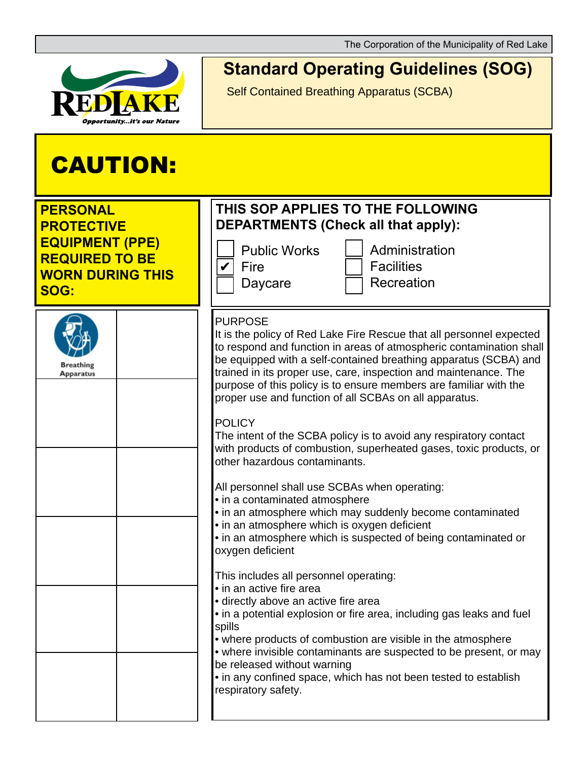The Corporation of the Municipality of Red Lake



## **Standard Operating Guidelines (SOG)**

Self Contained Breathing Apparatus (SCBA)

## CAUTION:

| <b>PERSONAL</b><br><b>PROTECTIVE</b><br><b>EQUIPMENT (PPE)</b><br><b>REQUIRED TO BE</b><br><b>WORN DURING THIS</b><br>SOG: | THIS SOP APPLIES TO THE FOLLOWING<br><b>DEPARTMENTS (Check all that apply):</b><br><b>Public Works</b><br>Administration<br><b>Facilities</b><br>Fire<br>Recreation<br>Daycare                                                                                                                                                                                                                                                                                                                                                                                                                                                                                                                                                                                                                                                                                                                                                                                                                                                                                                                                                                                                                                                                                                                                                                                                          |
|----------------------------------------------------------------------------------------------------------------------------|-----------------------------------------------------------------------------------------------------------------------------------------------------------------------------------------------------------------------------------------------------------------------------------------------------------------------------------------------------------------------------------------------------------------------------------------------------------------------------------------------------------------------------------------------------------------------------------------------------------------------------------------------------------------------------------------------------------------------------------------------------------------------------------------------------------------------------------------------------------------------------------------------------------------------------------------------------------------------------------------------------------------------------------------------------------------------------------------------------------------------------------------------------------------------------------------------------------------------------------------------------------------------------------------------------------------------------------------------------------------------------------------|
| <b>Breathing</b><br><b>Apparatus</b>                                                                                       | <b>PURPOSE</b><br>It is the policy of Red Lake Fire Rescue that all personnel expected<br>to respond and function in areas of atmospheric contamination shall<br>be equipped with a self-contained breathing apparatus (SCBA) and<br>trained in its proper use, care, inspection and maintenance. The<br>purpose of this policy is to ensure members are familiar with the<br>proper use and function of all SCBAs on all apparatus.<br><b>POLICY</b><br>The intent of the SCBA policy is to avoid any respiratory contact<br>with products of combustion, superheated gases, toxic products, or<br>other hazardous contaminants.<br>All personnel shall use SCBAs when operating:<br>• in a contaminated atmosphere<br>• in an atmosphere which may suddenly become contaminated<br>• in an atmosphere which is oxygen deficient<br>• in an atmosphere which is suspected of being contaminated or<br>oxygen deficient<br>This includes all personnel operating:<br>• in an active fire area<br>• directly above an active fire area<br>• in a potential explosion or fire area, including gas leaks and fuel<br>spills<br>• where products of combustion are visible in the atmosphere<br>• where invisible contaminants are suspected to be present, or may<br>be released without warning<br>• in any confined space, which has not been tested to establish<br>respiratory safety. |